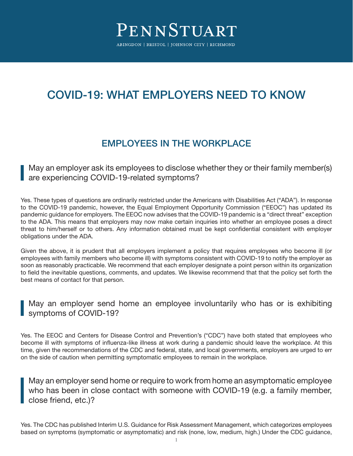# COVID-19: WHAT EMPLOYERS NEED TO KNOW

# EMPLOYEES IN THE WORKPLACE

May an employer ask its employees to disclose whether they or their family member(s) are experiencing COVID-19-related symptoms?

Yes. These types of questions are ordinarily restricted under the Americans with Disabilities Act ("ADA"). In response to the COVID-19 pandemic, however, the Equal Employment Opportunity Commission ("EEOC") has updated its pandemic guidance for employers. The EEOC now advises that the COVID-19 pandemic is a "direct threat" exception to the ADA. This means that employers may now make certain inquiries into whether an employee poses a direct threat to him/herself or to others. Any information obtained must be kept confidential consistent with employer obligations under the ADA.

Given the above, it is prudent that all employers implement a policy that requires employees who become ill (or employees with family members who become ill) with symptoms consistent with COVID-19 to notify the employer as soon as reasonably practicable. We recommend that each employer designate a point person within its organization to field the inevitable questions, comments, and updates. We likewise recommend that that the policy set forth the best means of contact for that person.

### May an employer send home an employee involuntarily who has or is exhibiting symptoms of COVID-19?

Yes. The EEOC and Centers for Disease Control and Prevention's ("CDC") have both stated that employees who become ill with symptoms of influenza-like illness at work during a pandemic should leave the workplace. At this time, given the recommendations of the CDC and federal, state, and local governments, employers are urged to err on the side of caution when permitting symptomatic employees to remain in the workplace.

May an employer send home or require to work from home an asymptomatic employee who has been in close contact with someone with COVID-19 (e.g. a family member, close friend, etc.)?

Yes. The CDC has published Interim U.S. Guidance for Risk Assessment Management, which categorizes employees based on symptoms (symptomatic or asymptomatic) and risk (none, low, medium, high.) Under the CDC guidance,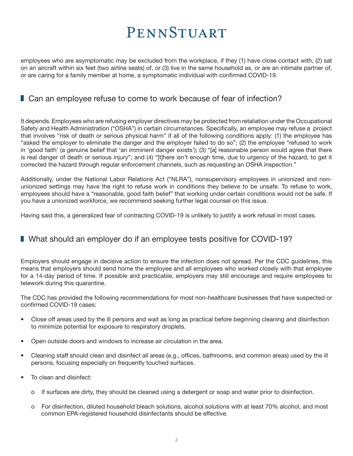employees who are asymptomatic may be excluded from the workplace, if they (1) have close contact with, (2) sat on an aircraft within six feet (two airline seats) of, or (3) live in the same household as, or are an intimate partner of, or are caring for a family member at home, a symptomatic individual with confirmed COVID-19.

### ■ Can an employee refuse to come to work because of fear of infection?

It depends. Employees who are refusing employer directives may be protected from retaliation under the Occupational Safety and Health Administration ("OSHA") in certain circumstances. Specifically, an employee may refuse a project that involves "risk of death or serious physical harm" if all of the following conditions apply: (1) the employee has "asked the employer to eliminate the danger and the employer failed to do so"; (2) the employee "refused to work in 'good faith' (a genuine belief that 'an imminent danger exists'); (3) "[a] reasonable person would agree that there is real danger of death or serious injury"; and (4) "[t]here isn't enough time, due to urgency of the hazard, to get it corrected the hazard through regular enforcement channels, such as requesting an OSHA inspection."

Additionally, under the National Labor Relations Act ("NLRA"), nonsupervisory employees in unionized and nonunionized settings may have the right to refuse work in conditions they believe to be unsafe. To refuse to work, employees should have a "reasonable, good faith belief" that working under certain conditions would not be safe. If you have a unionized workforce, we recommend seeking further legal counsel on this issue.

Having said this, a generalized fear of contracting COVID-19 is unlikely to justify a work refusal in most cases.

### ■ What should an employer do if an employee tests positive for COVID-19?

Employers should engage in decisive action to ensure the infection does not spread. Per the CDC guidelines, this means that employers should send home the employee and all employees who worked closely with that employee for a 14-day period of time. If possible and practicable, employers may still encourage and require employees to telework during this quarantine.

The CDC has provided the following recommendations for most non-healthcare businesses that have suspected or confirmed COVID-19 cases:

- Close off areas used by the ill persons and wait as long as practical before beginning cleaning and disinfection to minimize potential for exposure to respiratory droplets.
- Open outside doors and windows to increase air circulation in the area.
- Cleaning staff should clean and disinfect all areas (e.g., offices, bathrooms, and common areas) used by the ill persons, focusing especially on frequently touched surfaces.
- To clean and disinfect:
	- o If surfaces are dirty, they should be cleaned using a detergent or soap and water prior to disinfection.
	- o For disinfection, diluted household bleach solutions, alcohol solutions with at least 70% alcohol, and most common EPA-registered household disinfectants should be effective.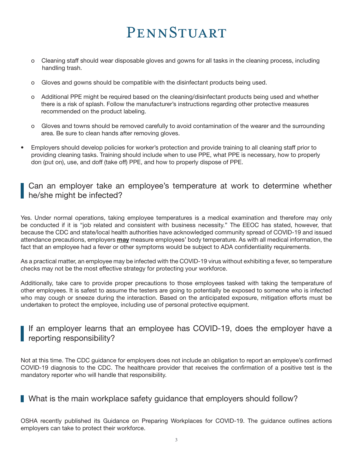- o Cleaning staff should wear disposable gloves and gowns for all tasks in the cleaning process, including handling trash.
- o Gloves and gowns should be compatible with the disinfectant products being used.
- o Additional PPE might be required based on the cleaning/disinfectant products being used and whether there is a risk of splash. Follow the manufacturer's instructions regarding other protective measures recommended on the product labeling.
- o Gloves and towns should be removed carefully to avoid contamination of the wearer and the surrounding area. Be sure to clean hands after removing gloves.
- Employers should develop policies for worker's protection and provide training to all cleaning staff prior to providing cleaning tasks. Training should include when to use PPE, what PPE is necessary, how to properly don (put on), use, and doff (take off) PPE, and how to properly dispose of PPE.

### Can an employer take an employee's temperature at work to determine whether he/she might be infected?

Yes. Under normal operations, taking employee temperatures is a medical examination and therefore may only be conducted if it is "job related and consistent with business necessity." The EEOC has stated, however, that because the CDC and state/local health authorities have acknowledged community spread of COVID-19 and issued attendance precautions, employers **may** measure employees' body temperature. As with all medical information, the fact that an employee had a fever or other symptoms would be subject to ADA confidentiality requirements.

As a practical matter, an employee may be infected with the COVID-19 virus without exhibiting a fever, so temperature checks may not be the most effective strategy for protecting your workforce.

Additionally, take care to provide proper precautions to those employees tasked with taking the temperature of other employees. It is safest to assume the testers are going to potentially be exposed to someone who is infected who may cough or sneeze during the interaction. Based on the anticipated exposure, mitigation efforts must be undertaken to protect the employee, including use of personal protective equipment.

### If an employer learns that an employee has COVID-19, does the employer have a **reporting responsibility?**

Not at this time. The CDC guidance for employers does not include an obligation to report an employee's confirmed COVID-19 diagnosis to the CDC. The healthcare provider that receives the confirmation of a positive test is the mandatory reporter who will handle that responsibility.

## What is the main workplace safety guidance that employers should follow?

OSHA recently published its Guidance on Preparing Workplaces for COVID-19. The guidance outlines actions employers can take to protect their workforce.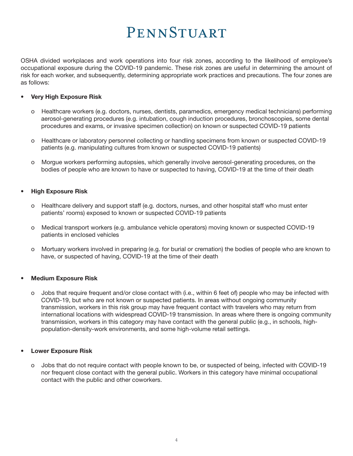OSHA divided workplaces and work operations into four risk zones, according to the likelihood of employee's occupational exposure during the COVID-19 pandemic. These risk zones are useful in determining the amount of risk for each worker, and subsequently, determining appropriate work practices and precautions. The four zones are as follows:

#### **• Very High Exposure Risk**

- o Healthcare workers (e.g. doctors, nurses, dentists, paramedics, emergency medical technicians) performing aerosol-generating procedures (e.g. intubation, cough induction procedures, bronchoscopies, some dental procedures and exams, or invasive specimen collection) on known or suspected COVID-19 patients
- o Healthcare or laboratory personnel collecting or handling specimens from known or suspected COVID-19 patients (e.g. manipulating cultures from known or suspected COVID-19 patients)
- o Morgue workers performing autopsies, which generally involve aerosol-generating procedures, on the bodies of people who are known to have or suspected to having, COVID-19 at the time of their death

#### **• High Exposure Risk**

- o Healthcare delivery and support staff (e.g. doctors, nurses, and other hospital staff who must enter patients' rooms) exposed to known or suspected COVID-19 patients
- o Medical transport workers (e.g. ambulance vehicle operators) moving known or suspected COVID-19 patients in enclosed vehicles
- o Mortuary workers involved in preparing (e.g. for burial or cremation) the bodies of people who are known to have, or suspected of having, COVID-19 at the time of their death

#### **• Medium Exposure Risk**

o Jobs that require frequent and/or close contact with (i.e., within 6 feet of) people who may be infected with COVID-19, but who are not known or suspected patients. In areas without ongoing community transmission, workers in this risk group may have frequent contact with travelers who may return from international locations with widespread COVID-19 transmission. In areas where there is ongoing community transmission, workers in this category may have contact with the general public (e.g., in schools, high population-density-work environments, and some high-volume retail settings.

#### **• Lower Exposure Risk**

o Jobs that do not require contact with people known to be, or suspected of being, infected with COVID-19 nor frequent close contact with the general public. Workers in this category have minimal occupational contact with the public and other coworkers.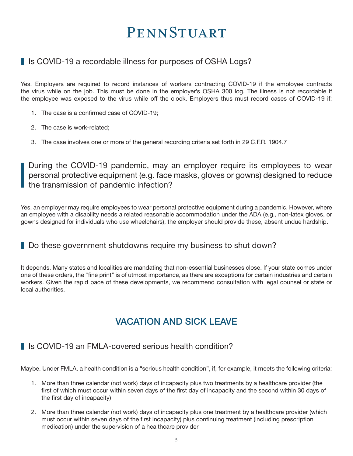## I Is COVID-19 a recordable illness for purposes of OSHA Logs?

Yes. Employers are required to record instances of workers contracting COVID-19 if the employee contracts the virus while on the job. This must be done in the employer's OSHA 300 log. The illness is not recordable if the employee was exposed to the virus while off the clock. Employers thus must record cases of COVID-19 if:

- 1. The case is a confirmed case of COVID-19;
- 2. The case is work-related;
- 3. The case involves one or more of the general recording criteria set forth in 29 C.F.R. 1904.7

During the COVID-19 pandemic, may an employer require its employees to wear personal protective equipment (e.g. face masks, gloves or gowns) designed to reduce the transmission of pandemic infection?

Yes, an employer may require employees to wear personal protective equipment during a pandemic. However, where an employee with a disability needs a related reasonable accommodation under the ADA (e.g., non-latex gloves, or gowns designed for individuals who use wheelchairs), the employer should provide these, absent undue hardship.

### Do these government shutdowns require my business to shut down?

It depends. Many states and localities are mandating that non-essential businesses close. If your state comes under one of these orders, the "fine print" is of utmost importance, as there are exceptions for certain industries and certain workers. Given the rapid pace of these developments, we recommend consultation with legal counsel or state or local authorities.

# VACATION AND SICK LEAVE

## I Is COVID-19 an FMI A-covered serious health condition?

Maybe. Under FMLA, a health condition is a "serious health condition", if, for example, it meets the following criteria:

- 1. More than three calendar (not work) days of incapacity plus two treatments by a healthcare provider (the first of which must occur within seven days of the first day of incapacity and the second within 30 days of the first day of incapacity)
- 2. More than three calendar (not work) days of incapacity plus one treatment by a healthcare provider (which must occur within seven days of the first incapacity) plus continuing treatment (including prescription medication) under the supervision of a healthcare provider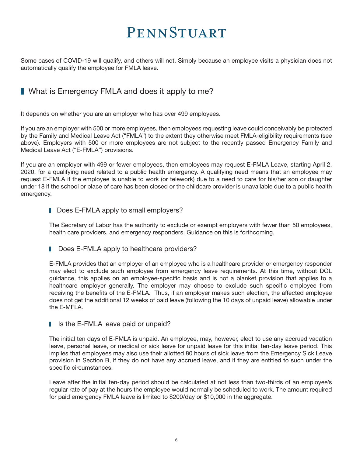Some cases of COVID-19 will qualify, and others will not. Simply because an employee visits a physician does not automatically qualify the employee for FMLA leave.

## What is Emergency FMLA and does it apply to me?

It depends on whether you are an employer who has over 499 employees.

If you are an employer with 500 or more employees, then employees requesting leave could conceivably be protected by the Family and Medical Leave Act ("FMLA") to the extent they otherwise meet FMLA-eligibility requirements (see above). Employers with 500 or more employees are not subject to the recently passed Emergency Family and Medical Leave Act ("E-FMLA") provisions.

If you are an employer with 499 or fewer employees, then employees may request E-FMLA Leave, starting April 2, 2020, for a qualifying need related to a public health emergency. A qualifying need means that an employee may request E-FMLA if the employee is unable to work (or telework) due to a need to care for his/her son or daughter under 18 if the school or place of care has been closed or the childcare provider is unavailable due to a public health emergency.

#### **I** Does E-FMLA apply to small employers?

The Secretary of Labor has the authority to exclude or exempt employers with fewer than 50 employees, health care providers, and emergency responders. Guidance on this is forthcoming.

Does E-FMLA apply to healthcare providers?

E-FMLA provides that an employer of an employee who is a healthcare provider or emergency responder may elect to exclude such employee from emergency leave requirements. At this time, without DOL guidance, this applies on an employee-specific basis and is not a blanket provision that applies to a healthcare employer generally. The employer may choose to exclude such specific employee from receiving the benefits of the E-FMLA. Thus, if an employer makes such election, the affected employee does not get the additional 12 weeks of paid leave (following the 10 days of unpaid leave) allowable under the E-MFLA.

#### I Is the E-FMLA leave paid or unpaid?

The initial ten days of E-FMLA is unpaid. An employee, may, however, elect to use any accrued vacation leave, personal leave, or medical or sick leave for unpaid leave for this initial ten-day leave period. This implies that employees may also use their allotted 80 hours of sick leave from the Emergency Sick Leave provision in Section B, if they do not have any accrued leave, and if they are entitled to such under the specific circumstances.

Leave after the initial ten-day period should be calculated at not less than two-thirds of an employee's regular rate of pay at the hours the employee would normally be scheduled to work. The amount required for paid emergency FMLA leave is limited to \$200/day or \$10,000 in the aggregate.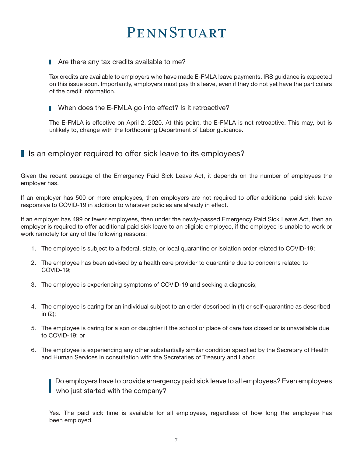#### Are there any tax credits available to me?

Tax credits are available to employers who have made E-FMLA leave payments. IRS guidance is expected on this issue soon. Importantly, employers must pay this leave, even if they do not yet have the particulars of the credit information.

#### When does the E-FMLA go into effect? Is it retroactive?

The E-FMLA is effective on April 2, 2020. At this point, the E-FMLA is not retroactive. This may, but is unlikely to, change with the forthcoming Department of Labor guidance.

### I Is an employer required to offer sick leave to its employees?

Given the recent passage of the Emergency Paid Sick Leave Act, it depends on the number of employees the employer has.

If an employer has 500 or more employees, then employers are not required to offer additional paid sick leave responsive to COVID-19 in addition to whatever policies are already in effect.

If an employer has 499 or fewer employees, then under the newly-passed Emergency Paid Sick Leave Act, then an employer is required to offer additional paid sick leave to an eligible employee, if the employee is unable to work or work remotely for any of the following reasons:

- 1. The employee is subject to a federal, state, or local quarantine or isolation order related to COVID-19;
- 2. The employee has been advised by a health care provider to quarantine due to concerns related to COVID-19;
- 3. The employee is experiencing symptoms of COVID-19 and seeking a diagnosis;
- 4. The employee is caring for an individual subject to an order described in (1) or self-quarantine as described in (2);
- 5. The employee is caring for a son or daughter if the school or place of care has closed or is unavailable due to COVID-19; or
- 6. The employee is experiencing any other substantially similar condition specified by the Secretary of Health and Human Services in consultation with the Secretaries of Treasury and Labor.

 Do employers have to provide emergency paid sick leave to all employees? Even employees who just started with the company?

Yes. The paid sick time is available for all employees, regardless of how long the employee has been employed.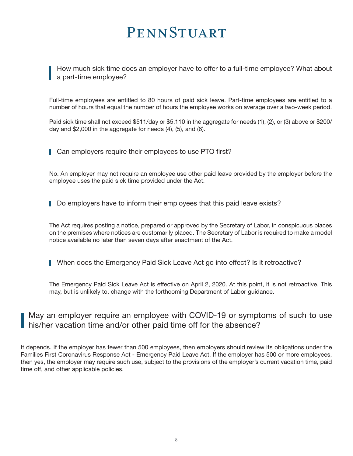How much sick time does an employer have to offer to a full-time employee? What about a part-time employee?

Full-time employees are entitled to 80 hours of paid sick leave. Part-time employees are entitled to a number of hours that equal the number of hours the employee works on average over a two-week period.

Paid sick time shall not exceed \$511/day or \$5,110 in the aggregate for needs (1), (2), or (3) above or \$200/ day and \$2,000 in the aggregate for needs (4), (5), and (6).

Can employers require their employees to use PTO first?

No. An employer may not require an employee use other paid leave provided by the employer before the employee uses the paid sick time provided under the Act.

Do employers have to inform their employees that this paid leave exists?

The Act requires posting a notice, prepared or approved by the Secretary of Labor, in conspicuous places on the premises where notices are customarily placed. The Secretary of Labor is required to make a model notice available no later than seven days after enactment of the Act.

When does the Emergency Paid Sick Leave Act go into effect? Is it retroactive?

The Emergency Paid Sick Leave Act is effective on April 2, 2020. At this point, it is not retroactive. This may, but is unlikely to, change with the forthcoming Department of Labor guidance.

May an employer require an employee with COVID-19 or symptoms of such to use his/her vacation time and/or other paid time off for the absence?

It depends. If the employer has fewer than 500 employees, then employers should review its obligations under the Families First Coronavirus Response Act - Emergency Paid Leave Act. If the employer has 500 or more employees, then yes, the employer may require such use, subject to the provisions of the employer's current vacation time, paid time off, and other applicable policies.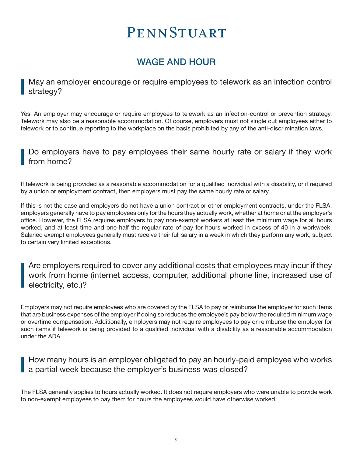# WAGE AND HOUR

May an employer encourage or require employees to telework as an infection control strategy?

Yes. An employer may encourage or require employees to telework as an infection-control or prevention strategy. Telework may also be a reasonable accommodation. Of course, employers must not single out employees either to telework or to continue reporting to the workplace on the basis prohibited by any of the anti-discrimination laws.

### Do employers have to pay employees their same hourly rate or salary if they work from home?

If telework is being provided as a reasonable accommodation for a qualified individual with a disability, or if required by a union or employment contract, then employers must pay the same hourly rate or salary.

If this is not the case and employers do not have a union contract or other employment contracts, under the FLSA, employers generally have to pay employees only for the hours they actually work, whether at home or at the employer's office. However, the FLSA requires employers to pay non-exempt workers at least the minimum wage for all hours worked, and at least time and one half the regular rate of pay for hours worked in excess of 40 in a workweek. Salaried exempt employees generally must receive their full salary in a week in which they perform any work, subject to certain very limited exceptions.

Are employers required to cover any additional costs that employees may incur if they work from home (internet access, computer, additional phone line, increased use of electricity, etc.)?

Employers may not require employees who are covered by the FLSA to pay or reimburse the employer for such items that are business expenses of the employer if doing so reduces the employee's pay below the required minimum wage or overtime compensation. Additionally, employers may not require employees to pay or reimburse the employer for such items if telework is being provided to a qualified individual with a disability as a reasonable accommodation under the ADA.

How many hours is an employer obligated to pay an hourly-paid employee who works a partial week because the employer's business was closed?

The FLSA generally applies to hours actually worked. It does not require employers who were unable to provide work to non-exempt employees to pay them for hours the employees would have otherwise worked.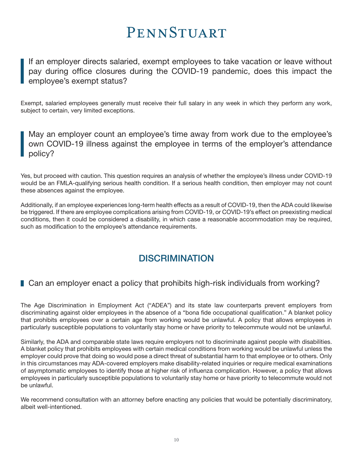If an employer directs salaried, exempt employees to take vacation or leave without pay during office closures during the COVID-19 pandemic, does this impact the employee's exempt status?

Exempt, salaried employees generally must receive their full salary in any week in which they perform any work, subject to certain, very limited exceptions.

May an employer count an employee's time away from work due to the employee's own COVID-19 illness against the employee in terms of the employer's attendance policy?

Yes, but proceed with caution. This question requires an analysis of whether the employee's illness under COVID-19 would be an FMLA-qualifying serious health condition. If a serious health condition, then employer may not count these absences against the employee.

Additionally, if an employee experiences long-term health effects as a result of COVID-19, then the ADA could likewise be triggered. If there are employee complications arising from COVID-19, or COVID-19's effect on preexisting medical conditions, then it could be considered a disability, in which case a reasonable accommodation may be required, such as modification to the employee's attendance requirements.

## **DISCRIMINATION**

### ■ Can an employer enact a policy that prohibits high-risk individuals from working?

The Age Discrimination in Employment Act ("ADEA") and its state law counterparts prevent employers from discriminating against older employees in the absence of a "bona fide occupational qualification." A blanket policy that prohibits employees over a certain age from working would be unlawful. A policy that allows employees in particularly susceptible populations to voluntarily stay home or have priority to telecommute would not be unlawful.

Similarly, the ADA and comparable state laws require employers not to discriminate against people with disabilities. A blanket policy that prohibits employees with certain medical conditions from working would be unlawful unless the employer could prove that doing so would pose a direct threat of substantial harm to that employee or to others. Only in this circumstances may ADA-covered employers make disability-related inquiries or require medical examinations of asymptomatic employees to identify those at higher risk of influenza complication. However, a policy that allows employees in particularly susceptible populations to voluntarily stay home or have priority to telecommute would not be unlawful.

We recommend consultation with an attorney before enacting any policies that would be potentially discriminatory, albeit well-intentioned.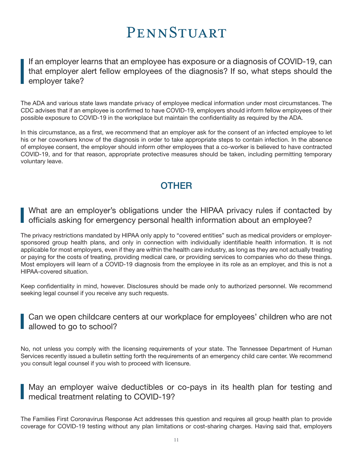If an employer learns that an employee has exposure or a diagnosis of COVID-19, can that employer alert fellow employees of the diagnosis? If so, what steps should the employer take?

The ADA and various state laws mandate privacy of employee medical information under most circumstances. The CDC advises that if an employee is confirmed to have COVID-19, employers should inform fellow employees of their possible exposure to COVID-19 in the workplace but maintain the confidentiality as required by the ADA.

In this circumstance, as a first, we recommend that an employer ask for the consent of an infected employee to let his or her coworkers know of the diagnosis in order to take appropriate steps to contain infection. In the absence of employee consent, the employer should inform other employees that a co-worker is believed to have contracted COVID-19, and for that reason, appropriate protective measures should be taken, including permitting temporary voluntary leave.

# **OTHER**

What are an employer's obligations under the HIPAA privacy rules if contacted by officials asking for emergency personal health information about an employee?

The privacy restrictions mandated by HIPAA only apply to "covered entities" such as medical providers or employersponsored group health plans, and only in connection with individually identifiable health information. It is not applicable for most employers, even if they are within the health care industry, as long as they are not actually treating or paying for the costs of treating, providing medical care, or providing services to companies who do these things. Most employers will learn of a COVID-19 diagnosis from the employee in its role as an employer, and this is not a HIPAA-covered situation.

Keep confidentiality in mind, however. Disclosures should be made only to authorized personnel. We recommend seeking legal counsel if you receive any such requests.

### Can we open childcare centers at our workplace for employees' children who are not allowed to go to school?

No, not unless you comply with the licensing requirements of your state. The Tennessee Department of Human Services recently issued a bulletin setting forth the requirements of an emergency child care center. We recommend you consult legal counsel if you wish to proceed with licensure.

May an employer waive deductibles or co-pays in its health plan for testing and medical treatment relating to COVID-19?

The Families First Coronavirus Response Act addresses this question and requires all group health plan to provide coverage for COVID-19 testing without any plan limitations or cost-sharing charges. Having said that, employers